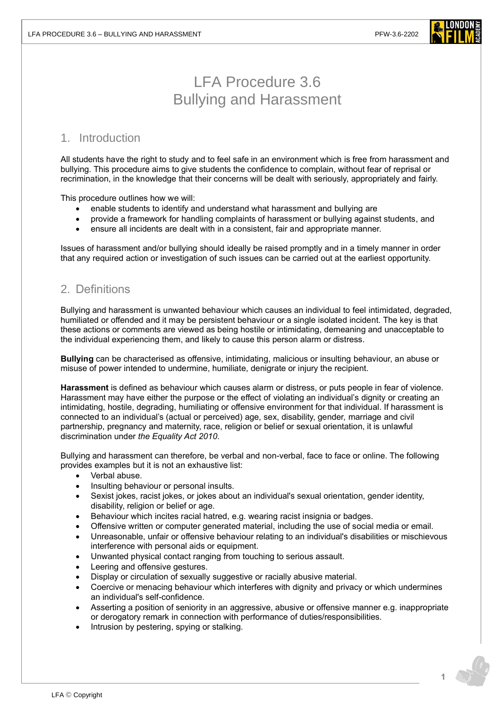

# LFA Procedure 3.6 Bullying and Harassment

## 1. Introduction

All students have the right to study and to feel safe in an environment which is free from harassment and bullying. This procedure aims to give students the confidence to complain, without fear of reprisal or recrimination, in the knowledge that their concerns will be dealt with seriously, appropriately and fairly.

This procedure outlines how we will:

- enable students to identify and understand what harassment and bullying are
- provide a framework for handling complaints of harassment or bullying against students, and
- ensure all incidents are dealt with in a consistent, fair and appropriate manner.

Issues of harassment and/or bullying should ideally be raised promptly and in a timely manner in order that any required action or investigation of such issues can be carried out at the earliest opportunity.

### 2. Definitions

Bullying and harassment is unwanted behaviour which causes an individual to feel intimidated, degraded, humiliated or offended and it may be persistent behaviour or a single isolated incident. The key is that these actions or comments are viewed as being hostile or intimidating, demeaning and unacceptable to the individual experiencing them, and likely to cause this person alarm or distress.

**Bullying** can be characterised as offensive, intimidating, malicious or insulting behaviour, an abuse or misuse of power intended to undermine, humiliate, denigrate or injury the recipient.

**Harassment** is defined as behaviour which causes alarm or distress, or puts people in fear of violence. Harassment may have either the purpose or the effect of violating an individual's dignity or creating an intimidating, hostile, degrading, humiliating or offensive environment for that individual. If harassment is connected to an individual's (actual or perceived) age, sex, disability, gender, marriage and civil partnership, pregnancy and maternity, race, religion or belief or sexual orientation, it is unlawful discrimination under *the Equality Act 2010*.

Bullying and harassment can therefore, be verbal and non-verbal, face to face or online. The following provides examples but it is not an exhaustive list:

- Verbal abuse.
- Insulting behaviour or personal insults.
- Sexist jokes, racist jokes, or jokes about an individual's sexual orientation, gender identity, disability, religion or belief or age.
- Behaviour which incites racial hatred, e.g. wearing racist insignia or badges.
- Offensive written or computer generated material, including the use of social media or email.
- Unreasonable, unfair or offensive behaviour relating to an individual's disabilities or mischievous interference with personal aids or equipment.
- Unwanted physical contact ranging from touching to serious assault.
- Leering and offensive gestures.
- Display or circulation of sexually suggestive or racially abusive material.
- Coercive or menacing behaviour which interferes with dignity and privacy or which undermines an individual's self-confidence.
- Asserting a position of seniority in an aggressive, abusive or offensive manner e.g. inappropriate or derogatory remark in connection with performance of duties/responsibilities.
- Intrusion by pestering, spying or stalking.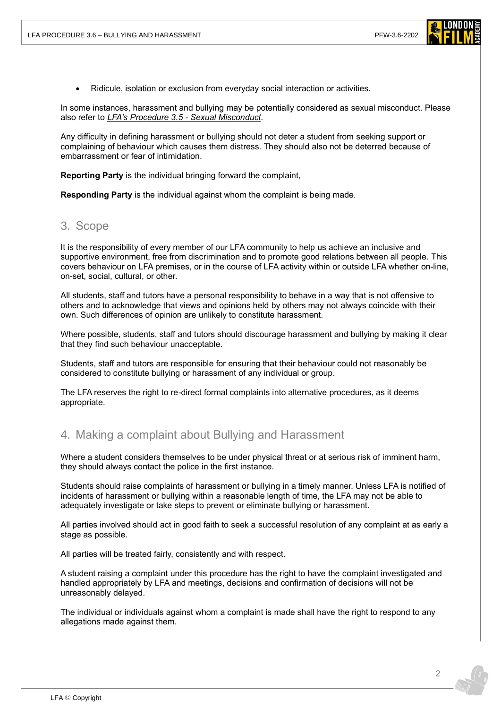

• Ridicule, isolation or exclusion from everyday social interaction or activities.

In some instances, harassment and bullying may be potentially considered as sexual misconduct. Please also refer to *[LFA's Procedure 3.5 -](https://www.londonfilmacademy.com/LFA_Procedure_3.5_Sexual_misconduct.pdf) Sexual Misconduct*.

Any difficulty in defining harassment or bullying should not deter a student from seeking support or complaining of behaviour which causes them distress. They should also not be deterred because of embarrassment or fear of intimidation.

**Reporting Party** is the individual bringing forward the complaint,

**Responding Party** is the individual against whom the complaint is being made.

### 3. Scope

It is the responsibility of every member of our LFA community to help us achieve an inclusive and supportive environment, free from discrimination and to promote good relations between all people. This covers behaviour on LFA premises, or in the course of LFA activity within or outside LFA whether on-line, on-set, social, cultural, or other.

All students, staff and tutors have a personal responsibility to behave in a way that is not offensive to others and to acknowledge that views and opinions held by others may not always coincide with their own. Such differences of opinion are unlikely to constitute harassment.

Where possible, students, staff and tutors should discourage harassment and bullying by making it clear that they find such behaviour unacceptable.

Students, staff and tutors are responsible for ensuring that their behaviour could not reasonably be considered to constitute bullying or harassment of any individual or group.

The LFA reserves the right to re-direct formal complaints into alternative procedures, as it deems appropriate.

### 4. Making a complaint about Bullying and Harassment

Where a student considers themselves to be under physical threat or at serious risk of imminent harm, they should always contact the police in the first instance.

Students should raise complaints of harassment or bullying in a timely manner. Unless LFA is notified of incidents of harassment or bullying within a reasonable length of time, the LFA may not be able to adequately investigate or take steps to prevent or eliminate bullying or harassment.

All parties involved should act in good faith to seek a successful resolution of any complaint at as early a stage as possible.

All parties will be treated fairly, consistently and with respect.

A student raising a complaint under this procedure has the right to have the complaint investigated and handled appropriately by LFA and meetings, decisions and confirmation of decisions will not be unreasonably delayed.

The individual or individuals against whom a complaint is made shall have the right to respond to any allegations made against them.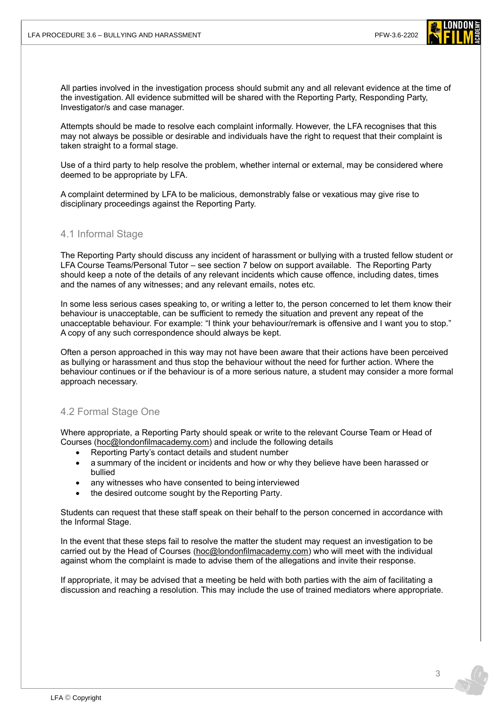

All parties involved in the investigation process should submit any and all relevant evidence at the time of the investigation. All evidence submitted will be shared with the Reporting Party, Responding Party, Investigator/s and case manager.

Attempts should be made to resolve each complaint informally. However, the LFA recognises that this may not always be possible or desirable and individuals have the right to request that their complaint is taken straight to a formal stage.

Use of a third party to help resolve the problem, whether internal or external, may be considered where deemed to be appropriate by LFA.

A complaint determined by LFA to be malicious, demonstrably false or vexatious may give rise to disciplinary proceedings against the Reporting Party.

#### 4.1 Informal Stage

The Reporting Party should discuss any incident of harassment or bullying with a trusted fellow student or LFA Course Teams/Personal Tutor – see section 7 below on support available. The Reporting Party should keep a note of the details of any relevant incidents which cause offence, including dates, times and the names of any witnesses; and any relevant emails, notes etc.

In some less serious cases speaking to, or writing a letter to, the person concerned to let them know their behaviour is unacceptable, can be sufficient to remedy the situation and prevent any repeat of the unacceptable behaviour. For example: "I think your behaviour/remark is offensive and I want you to stop." A copy of any such correspondence should always be kept.

Often a person approached in this way may not have been aware that their actions have been perceived as bullying or harassment and thus stop the behaviour without the need for further action. Where the behaviour continues or if the behaviour is of a more serious nature, a student may consider a more formal approach necessary.

#### 4.2 Formal Stage One

Where appropriate, a Reporting Party should speak or write to the relevant Course Team or Head of Courses [\(hoc@londonfilmacademy.com\)](mailto:hoc@londonfilmacademy.com) and include the following details

- Reporting Party's contact details and student number
- a summary of the incident or incidents and how or why they believe have been harassed or bullied
- any witnesses who have consented to being interviewed
- the desired outcome sought by the Reporting Party.

Students can request that these staff speak on their behalf to the person concerned in accordance with the Informal Stage.

In the event that these steps fail to resolve the matter the student may request an investigation to be carried out by the Head of Courses [\(hoc@londonfilmacademy.com\)](mailto:hoc@londonfilmacademy.com) who will meet with the individual against whom the complaint is made to advise them of the allegations and invite their response.

If appropriate, it may be advised that a meeting be held with both parties with the aim of facilitating a discussion and reaching a resolution. This may include the use of trained mediators where appropriate.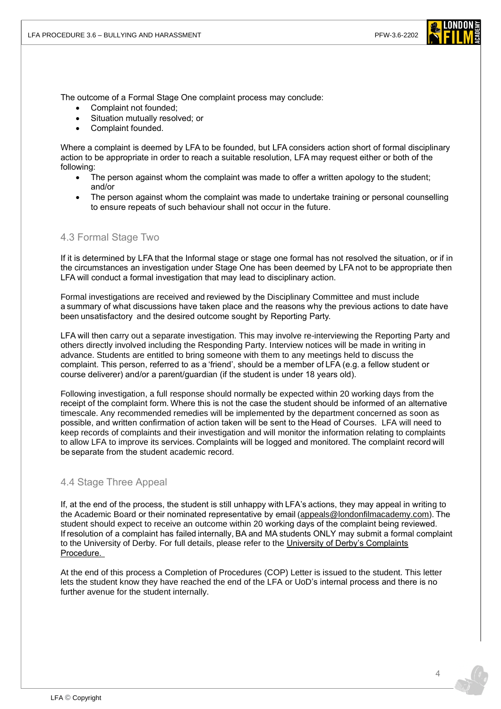

The outcome of a Formal Stage One complaint process may conclude:

- Complaint not founded:
- Situation mutually resolved; or
- Complaint founded.

Where a complaint is deemed by LFA to be founded, but LFA considers action short of formal disciplinary action to be appropriate in order to reach a suitable resolution, LFA may request either or both of the following:

- The person against whom the complaint was made to offer a written apology to the student; and/or
- The person against whom the complaint was made to undertake training or personal counselling to ensure repeats of such behaviour shall not occur in the future.

#### 4.3 Formal Stage Two

If it is determined by LFA that the Informal stage or stage one formal has not resolved the situation, or if in the circumstances an investigation under Stage One has been deemed by LFA not to be appropriate then LFA will conduct a formal investigation that may lead to disciplinary action.

Formal investigations are received and reviewed by the Disciplinary Committee and must include a summary of what discussions have taken place and the reasons why the previous actions to date have been unsatisfactory  and the desired outcome sought by Reporting Party. 

LFA will then carry out a separate investigation. This may involve re-interviewing the Reporting Party and others directly involved including the Responding Party. Interview notices will be made in writing in advance. Students are entitled to bring someone with them to any meetings held to discuss the complaint. This person, referred to as a 'friend', should be a member of LFA (e.g. a fellow student or course deliverer) and/or a parent/guardian (if the student is under 18 years old).  

Following investigation, a full response should normally be expected within 20 working days from the receipt of the complaint form. Where this is not the case the student should be informed of an alternative timescale. Any recommended remedies will be implemented by the department concerned as soon as possible, and written confirmation of action taken will be sent to the Head of Courses. LFA will need to keep records of complaints and their investigation and will monitor the information relating to complaints to allow LFA to improve its services. Complaints will be logged and monitored. The complaint record will be separate from the student academic record. 

#### 4.4 Stage Three Appeal

If, at the end of the process, the student is still unhappy with LFA's actions, they may appeal in writing to the Academic Board or their nominated representative by email [\(appeals@londonfilmacademy.com\)](mailto:appeals@londonfilmacademy.com?subject=Complaint%20Appeal). The student should expect to receive an outcome within 20 working days of the complaint being reviewed.   If resolution of a complaint has failed internally, BA and MA students ONLY may submit a formal complaint to the University of Derby. For full details, please refer to the [University of Derby's Complaints](https://www.derby.ac.uk/about/academic-regulations/complaints-procedure/)  [Procedure.](https://www.derby.ac.uk/about/academic-regulations/complaints-procedure/)

At the end of this process a Completion of Procedures (COP) Letter is issued to the student. This letter lets the student know they have reached the end of the LFA or UoD's internal process and there is no further avenue for the student internally.